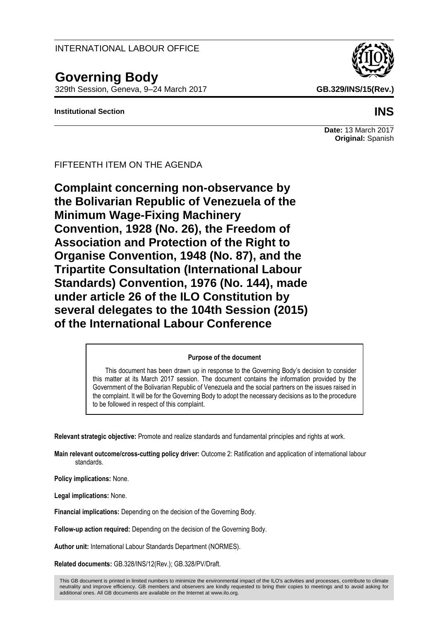# **Governing Body**

329th Session, Geneva, 9–24 March 2017 **GB.329/INS/15(Rev.)**

**Institutional Section INS**

#### **Date:** 13 March 2017 **Original:** Spanish

FIFTEENTH ITEM ON THE AGENDA

**Complaint concerning non-observance by the Bolivarian Republic of Venezuela of the Minimum Wage-Fixing Machinery Convention, 1928 (No. 26), the Freedom of Association and Protection of the Right to Organise Convention, 1948 (No. 87), and the Tripartite Consultation (International Labour Standards) Convention, 1976 (No. 144), made under article 26 of the ILO Constitution by several delegates to the 104th Session (2015) of the International Labour Conference** 

### **Purpose of the document**

This document has been drawn up in response to the Governing Body's decision to consider this matter at its March 2017 session. The document contains the information provided by the Government of the Bolivarian Republic of Venezuela and the social partners on the issues raised in the complaint. It will be for the Governing Body to adopt the necessary decisions as to the procedure to be followed in respect of this complaint.

**Relevant strategic objective:** Promote and realize standards and fundamental principles and rights at work.

**Main relevant outcome/cross-cutting policy driver:** Outcome 2: Ratification and application of international labour standards.

**Policy implications:** None.

**Legal implications:** None.

**Financial implications:** Depending on the decision of the Governing Body.

**Follow-up action required:** Depending on the decision of the Governing Body.

**Author unit:** International Labour Standards Department (NORMES).

**Related documents:** GB.328/INS/12(Rev.); GB.328/PV/Draft.

This GB document is printed in limited numbers to minimize the environmental impact of the ILO's activities and processes, contribute to climate neutrality and improve efficiency. GB members and observers are kindly requested to bring their copies to meetings and to avoid asking for additional ones. All GB documents are available on the Internet at www.ilo.org.

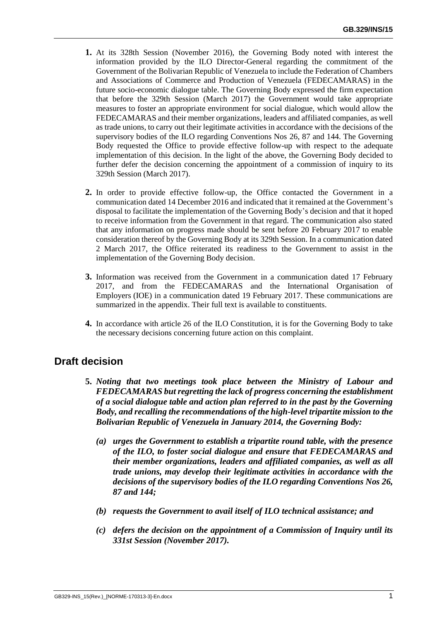- **1.** At its 328th Session (November 2016), the Governing Body noted with interest the information provided by the ILO Director-General regarding the commitment of the Government of the Bolivarian Republic of Venezuela to include the Federation of Chambers and Associations of Commerce and Production of Venezuela (FEDECAMARAS) in the future socio-economic dialogue table. The Governing Body expressed the firm expectation that before the 329th Session (March 2017) the Government would take appropriate measures to foster an appropriate environment for social dialogue, which would allow the FEDECAMARAS and their member organizations, leaders and affiliated companies, as well as trade unions, to carry out their legitimate activities in accordance with the decisions of the supervisory bodies of the ILO regarding Conventions Nos 26, 87 and 144. The Governing Body requested the Office to provide effective follow-up with respect to the adequate implementation of this decision. In the light of the above, the Governing Body decided to further defer the decision concerning the appointment of a commission of inquiry to its 329th Session (March 2017).
- **2.** In order to provide effective follow-up, the Office contacted the Government in a communication dated 14 December 2016 and indicated that it remained at the Government's disposal to facilitate the implementation of the Governing Body's decision and that it hoped to receive information from the Government in that regard. The communication also stated that any information on progress made should be sent before 20 February 2017 to enable consideration thereof by the Governing Body at its 329th Session. In a communication dated 2 March 2017, the Office reiterated its readiness to the Government to assist in the implementation of the Governing Body decision.
- **3.** Information was received from the Government in a communication dated 17 February 2017, and from the FEDECAMARAS and the International Organisation of Employers (IOE) in a communication dated 19 February 2017. These communications are summarized in the appendix. Their full text is available to constituents.
- **4.** In accordance with article 26 of the ILO Constitution, it is for the Governing Body to take the necessary decisions concerning future action on this complaint.

# **Draft decision**

- **5.** *Noting that two meetings took place between the Ministry of Labour and FEDECAMARAS but regretting the lack of progress concerning the establishment of a social dialogue table and action plan referred to in the past by the Governing Body, and recalling the recommendations of the high-level tripartite mission to the Bolivarian Republic of Venezuela in January 2014, the Governing Body:*
	- *(a) urges the Government to establish a tripartite round table, with the presence of the ILO, to foster social dialogue and ensure that FEDECAMARAS and their member organizations, leaders and affiliated companies, as well as all trade unions, may develop their legitimate activities in accordance with the decisions of the supervisory bodies of the ILO regarding Conventions Nos 26, 87 and 144;*
	- *(b) requests the Government to avail itself of ILO technical assistance; and*
	- *(c) defers the decision on the appointment of a Commission of Inquiry until its 331st Session (November 2017).*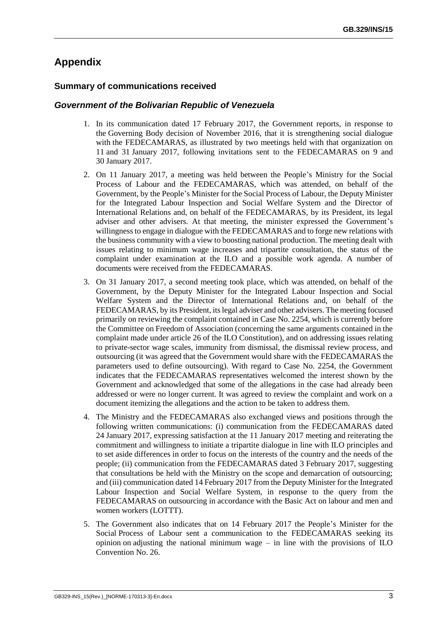# **Appendix**

# **Summary of communications received**

# *Government of the Bolivarian Republic of Venezuela*

- 1. In its communication dated 17 February 2017, the Government reports, in response to the Governing Body decision of November 2016, that it is strengthening social dialogue with the FEDECAMARAS, as illustrated by two meetings held with that organization on 11 and 31 January 2017, following invitations sent to the FEDECAMARAS on 9 and 30 January 2017.
- 2. On 11 January 2017, a meeting was held between the People's Ministry for the Social Process of Labour and the FEDECAMARAS, which was attended, on behalf of the Government, by the People's Minister for the Social Process of Labour, the Deputy Minister for the Integrated Labour Inspection and Social Welfare System and the Director of International Relations and, on behalf of the FEDECAMARAS, by its President, its legal adviser and other advisers. At that meeting, the minister expressed the Government's willingness to engage in dialogue with the FEDECAMARAS and to forge new relations with the business community with a view to boosting national production. The meeting dealt with issues relating to minimum wage increases and tripartite consultation, the status of the complaint under examination at the ILO and a possible work agenda. A number of documents were received from the FEDECAMARAS.
- 3. On 31 January 2017, a second meeting took place, which was attended, on behalf of the Government, by the Deputy Minister for the Integrated Labour Inspection and Social Welfare System and the Director of International Relations and, on behalf of the FEDECAMARAS, by its President, its legal adviser and other advisers. The meeting focused primarily on reviewing the complaint contained in Case No. 2254, which is currently before the Committee on Freedom of Association (concerning the same arguments contained in the complaint made under article 26 of the ILO Constitution), and on addressing issues relating to private-sector wage scales, immunity from dismissal, the dismissal review process, and outsourcing (it was agreed that the Government would share with the FEDECAMARAS the parameters used to define outsourcing). With regard to Case No. 2254, the Government indicates that the FEDECAMARAS representatives welcomed the interest shown by the Government and acknowledged that some of the allegations in the case had already been addressed or were no longer current. It was agreed to review the complaint and work on a document itemizing the allegations and the action to be taken to address them.
- 4. The Ministry and the FEDECAMARAS also exchanged views and positions through the following written communications: (i) communication from the FEDECAMARAS dated 24 January 2017, expressing satisfaction at the 11 January 2017 meeting and reiterating the commitment and willingness to initiate a tripartite dialogue in line with ILO principles and to set aside differences in order to focus on the interests of the country and the needs of the people; (ii) communication from the FEDECAMARAS dated 3 February 2017, suggesting that consultations be held with the Ministry on the scope and demarcation of outsourcing; and (iii) communication dated 14 February 2017 from the Deputy Minister for the Integrated Labour Inspection and Social Welfare System, in response to the query from the FEDECAMARAS on outsourcing in accordance with the Basic Act on labour and men and women workers (LOTTT).
- 5. The Government also indicates that on 14 February 2017 the People's Minister for the Social Process of Labour sent a communication to the FEDECAMARAS seeking its opinion on adjusting the national minimum wage  $-$  in line with the provisions of ILO Convention No. 26.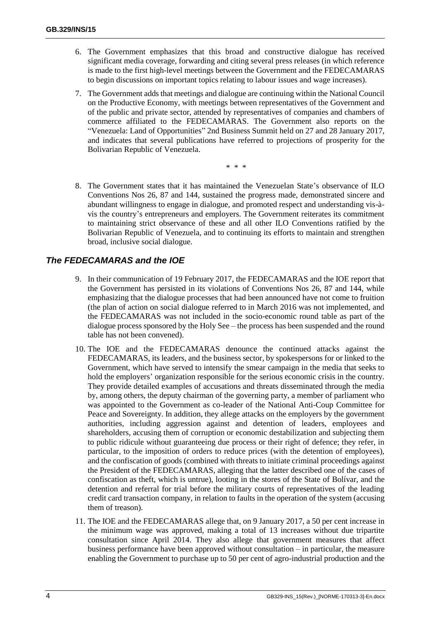- 6. The Government emphasizes that this broad and constructive dialogue has received significant media coverage, forwarding and citing several press releases (in which reference is made to the first high-level meetings between the Government and the FEDECAMARAS to begin discussions on important topics relating to labour issues and wage increases).
- 7. The Government adds that meetings and dialogue are continuing within the National Council on the Productive Economy, with meetings between representatives of the Government and of the public and private sector, attended by representatives of companies and chambers of commerce affiliated to the FEDECAMARAS. The Government also reports on the "Venezuela: Land of Opportunities" 2nd Business Summit held on 27 and 28 January 2017, and indicates that several publications have referred to projections of prosperity for the Bolivarian Republic of Venezuela.

\* \* \*

8. The Government states that it has maintained the Venezuelan State's observance of ILO Conventions Nos 26, 87 and 144, sustained the progress made, demonstrated sincere and abundant willingness to engage in dialogue, and promoted respect and understanding vis-àvis the country's entrepreneurs and employers. The Government reiterates its commitment to maintaining strict observance of these and all other ILO Conventions ratified by the Bolivarian Republic of Venezuela, and to continuing its efforts to maintain and strengthen broad, inclusive social dialogue.

## *The FEDECAMARAS and the IOE*

- 9. In their communication of 19 February 2017, the FEDECAMARAS and the IOE report that the Government has persisted in its violations of Conventions Nos 26, 87 and 144, while emphasizing that the dialogue processes that had been announced have not come to fruition (the plan of action on social dialogue referred to in March 2016 was not implemented, and the FEDECAMARAS was not included in the socio-economic round table as part of the dialogue process sponsored by the Holy See – the process has been suspended and the round table has not been convened).
- 10. The IOE and the FEDECAMARAS denounce the continued attacks against the FEDECAMARAS, its leaders, and the business sector, by spokespersons for or linked to the Government, which have served to intensify the smear campaign in the media that seeks to hold the employers' organization responsible for the serious economic crisis in the country. They provide detailed examples of accusations and threats disseminated through the media by, among others, the deputy chairman of the governing party, a member of parliament who was appointed to the Government as co-leader of the National Anti-Coup Committee for Peace and Sovereignty. In addition, they allege attacks on the employers by the government authorities, including aggression against and detention of leaders, employees and shareholders, accusing them of corruption or economic destabilization and subjecting them to public ridicule without guaranteeing due process or their right of defence; they refer, in particular, to the imposition of orders to reduce prices (with the detention of employees), and the confiscation of goods (combined with threats to initiate criminal proceedings against the President of the FEDECAMARAS, alleging that the latter described one of the cases of confiscation as theft, which is untrue), looting in the stores of the State of Bolívar, and the detention and referral for trial before the military courts of representatives of the leading credit card transaction company, in relation to faults in the operation of the system (accusing them of treason).
- 11. The IOE and the FEDECAMARAS allege that, on 9 January 2017, a 50 per cent increase in the minimum wage was approved, making a total of 13 increases without due tripartite consultation since April 2014. They also allege that government measures that affect business performance have been approved without consultation – in particular, the measure enabling the Government to purchase up to 50 per cent of agro-industrial production and the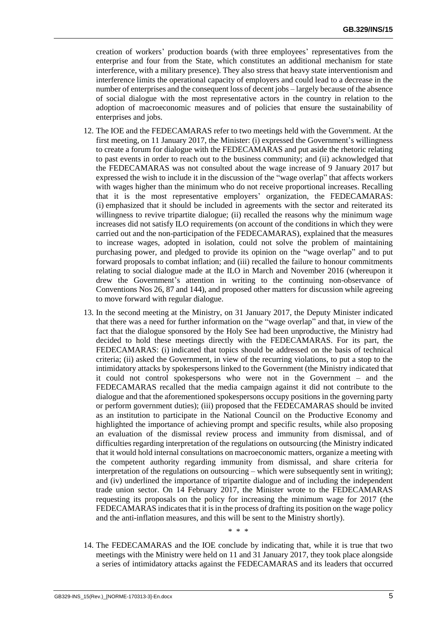creation of workers' production boards (with three employees' representatives from the enterprise and four from the State, which constitutes an additional mechanism for state interference, with a military presence). They also stress that heavy state interventionism and interference limits the operational capacity of employers and could lead to a decrease in the number of enterprises and the consequent loss of decent jobs – largely because of the absence of social dialogue with the most representative actors in the country in relation to the adoption of macroeconomic measures and of policies that ensure the sustainability of enterprises and jobs.

- 12. The IOE and the FEDECAMARAS refer to two meetings held with the Government. At the first meeting, on 11 January 2017, the Minister: (i) expressed the Government's willingness to create a forum for dialogue with the FEDECAMARAS and put aside the rhetoric relating to past events in order to reach out to the business community; and (ii) acknowledged that the FEDECAMARAS was not consulted about the wage increase of 9 January 2017 but expressed the wish to include it in the discussion of the "wage overlap" that affects workers with wages higher than the minimum who do not receive proportional increases. Recalling that it is the most representative employers' organization, the FEDECAMARAS: (i) emphasized that it should be included in agreements with the sector and reiterated its willingness to revive tripartite dialogue; (ii) recalled the reasons why the minimum wage increases did not satisfy ILO requirements (on account of the conditions in which they were carried out and the non-participation of the FEDECAMARAS), explained that the measures to increase wages, adopted in isolation, could not solve the problem of maintaining purchasing power, and pledged to provide its opinion on the "wage overlap" and to put forward proposals to combat inflation; and (iii) recalled the failure to honour commitments relating to social dialogue made at the ILO in March and November 2016 (whereupon it drew the Government's attention in writing to the continuing non-observance of Conventions Nos 26, 87 and 144), and proposed other matters for discussion while agreeing to move forward with regular dialogue.
- 13. In the second meeting at the Ministry, on 31 January 2017, the Deputy Minister indicated that there was a need for further information on the "wage overlap" and that, in view of the fact that the dialogue sponsored by the Holy See had been unproductive, the Ministry had decided to hold these meetings directly with the FEDECAMARAS. For its part, the FEDECAMARAS: (i) indicated that topics should be addressed on the basis of technical criteria; (ii) asked the Government, in view of the recurring violations, to put a stop to the intimidatory attacks by spokespersons linked to the Government (the Ministry indicated that it could not control spokespersons who were not in the Government – and the FEDECAMARAS recalled that the media campaign against it did not contribute to the dialogue and that the aforementioned spokespersons occupy positions in the governing party or perform government duties); (iii) proposed that the FEDECAMARAS should be invited as an institution to participate in the National Council on the Productive Economy and highlighted the importance of achieving prompt and specific results, while also proposing an evaluation of the dismissal review process and immunity from dismissal, and of difficulties regarding interpretation of the regulations on outsourcing (the Ministry indicated that it would hold internal consultations on macroeconomic matters, organize a meeting with the competent authority regarding immunity from dismissal, and share criteria for interpretation of the regulations on outsourcing – which were subsequently sent in writing); and (iv) underlined the importance of tripartite dialogue and of including the independent trade union sector. On 14 February 2017, the Minister wrote to the FEDECAMARAS requesting its proposals on the policy for increasing the minimum wage for 2017 (the FEDECAMARAS indicates that it is in the process of drafting its position on the wage policy and the anti-inflation measures, and this will be sent to the Ministry shortly).
- 14. The FEDECAMARAS and the IOE conclude by indicating that, while it is true that two meetings with the Ministry were held on 11 and 31 January 2017, they took place alongside a series of intimidatory attacks against the FEDECAMARAS and its leaders that occurred

\* \* \*